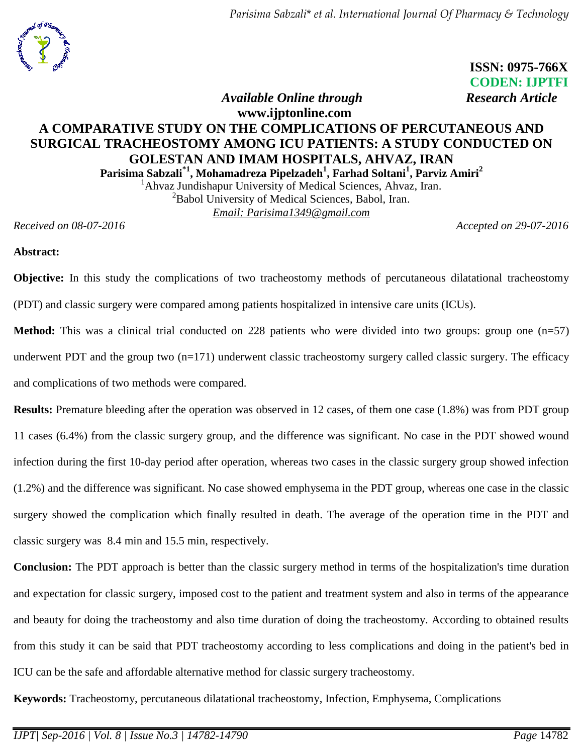

 **ISSN: 0975-766X CODEN: IJPTFI** *Available Online through Research Article* 

# **www.ijptonline.com A COMPARATIVE STUDY ON THE COMPLICATIONS OF PERCUTANEOUS AND SURGICAL TRACHEOSTOMY AMONG ICU PATIENTS: A STUDY CONDUCTED ON GOLESTAN AND IMAM HOSPITALS, AHVAZ, IRAN Parisima Sabzali\*1 , Mohamadreza Pipelzadeh<sup>1</sup> , Farhad Soltani<sup>1</sup> , Parviz Amiri<sup>2</sup>**

<sup>1</sup>Ahvaz Jundishapur University of Medical Sciences, Ahvaz, Iran. <sup>2</sup>Babol University of Medical Sciences, Babol, Iran. *Email: [Parisima1349@gmail.com](mailto:Parisima1349@gmail.com)*

*Received on 08-07-2016 Accepted on 29-07-2016*

### **Abstract:**

**Objective:** In this study the complications of two tracheostomy methods of percutaneous dilatational tracheostomy (PDT) and classic surgery were compared among patients hospitalized in intensive care units (ICUs).

**Method:** This was a clinical trial conducted on 228 patients who were divided into two groups: group one (n=57) underwent PDT and the group two  $(n=171)$  underwent classic tracheostomy surgery called classic surgery. The efficacy and complications of two methods were compared.

**Results:** Premature bleeding after the operation was observed in 12 cases, of them one case (1.8%) was from PDT group 11 cases (6.4%) from the classic surgery group, and the difference was significant. No case in the PDT showed wound infection during the first 10-day period after operation, whereas two cases in the classic surgery group showed infection (1.2%) and the difference was significant. No case showed emphysema in the PDT group, whereas one case in the classic surgery showed the complication which finally resulted in death. The average of the operation time in the PDT and classic surgery was 8.4 min and 15.5 min, respectively.

**Conclusion:** The PDT approach is better than the classic surgery method in terms of the hospitalization's time duration and expectation for classic surgery, imposed cost to the patient and treatment system and also in terms of the appearance and beauty for doing the tracheostomy and also time duration of doing the tracheostomy. According to obtained results from this study it can be said that PDT tracheostomy according to less complications and doing in the patient's bed in ICU can be the safe and affordable alternative method for classic surgery tracheostomy.

**Keywords:** Tracheostomy, percutaneous dilatational tracheostomy, Infection, Emphysema, Complications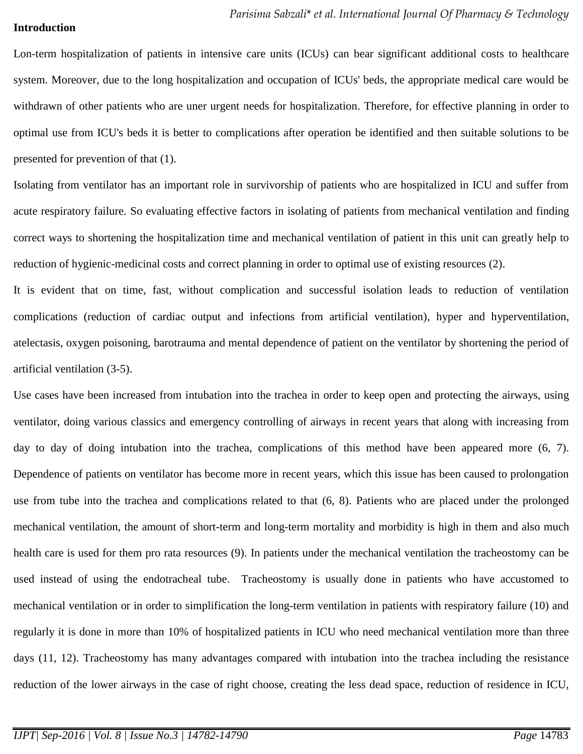### **Introduction**

Lon-term hospitalization of patients in intensive care units (ICUs) can bear significant additional costs to healthcare system. Moreover, due to the long hospitalization and occupation of ICUs' beds, the appropriate medical care would be withdrawn of other patients who are uner urgent needs for hospitalization. Therefore, for effective planning in order to optimal use from ICU's beds it is better to complications after operation be identified and then suitable solutions to be presented for prevention of that (1).

Isolating from ventilator has an important role in survivorship of patients who are hospitalized in ICU and suffer from acute respiratory failure. So evaluating effective factors in isolating of patients from mechanical ventilation and finding correct ways to shortening the hospitalization time and mechanical ventilation of patient in this unit can greatly help to reduction of hygienic-medicinal costs and correct planning in order to optimal use of existing resources (2).

It is evident that on time, fast, without complication and successful isolation leads to reduction of ventilation complications (reduction of cardiac output and infections from artificial ventilation), hyper and hyperventilation, atelectasis, oxygen poisoning, barotrauma and mental dependence of patient on the ventilator by shortening the period of artificial ventilation (3-5).

Use cases have been increased from intubation into the trachea in order to keep open and protecting the airways, using ventilator, doing various classics and emergency controlling of airways in recent years that along with increasing from day to day of doing intubation into the trachea, complications of this method have been appeared more (6, 7). Dependence of patients on ventilator has become more in recent years, which this issue has been caused to prolongation use from tube into the trachea and complications related to that (6, 8). Patients who are placed under the prolonged mechanical ventilation, the amount of short-term and long-term mortality and morbidity is high in them and also much health care is used for them pro rata resources (9). In patients under the mechanical ventilation the tracheostomy can be used instead of using the endotracheal tube. Tracheostomy is usually done in patients who have accustomed to mechanical ventilation or in order to simplification the long-term ventilation in patients with respiratory failure (10) and regularly it is done in more than 10% of hospitalized patients in ICU who need mechanical ventilation more than three days (11, 12). Tracheostomy has many advantages compared with intubation into the trachea including the resistance reduction of the lower airways in the case of right choose, creating the less dead space, reduction of residence in ICU,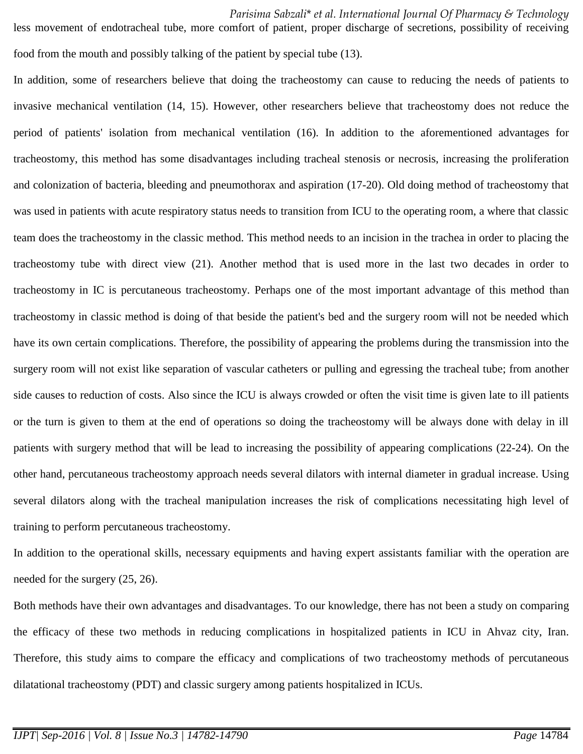*Parisima Sabzali*\* *et al. International Journal Of Pharmacy & Technology* less movement of endotracheal tube, more comfort of patient, proper discharge of secretions, possibility of receiving food from the mouth and possibly talking of the patient by special tube (13).

In addition, some of researchers believe that doing the tracheostomy can cause to reducing the needs of patients to invasive mechanical ventilation (14, 15). However, other researchers believe that tracheostomy does not reduce the period of patients' isolation from mechanical ventilation (16). In addition to the aforementioned advantages for tracheostomy, this method has some disadvantages including tracheal stenosis or necrosis, increasing the proliferation and colonization of bacteria, bleeding and pneumothorax and aspiration (17-20). Old doing method of tracheostomy that was used in patients with acute respiratory status needs to transition from ICU to the operating room, a where that classic team does the tracheostomy in the classic method. This method needs to an incision in the trachea in order to placing the tracheostomy tube with direct view (21). Another method that is used more in the last two decades in order to tracheostomy in IC is percutaneous tracheostomy. Perhaps one of the most important advantage of this method than tracheostomy in classic method is doing of that beside the patient's bed and the surgery room will not be needed which have its own certain complications. Therefore, the possibility of appearing the problems during the transmission into the surgery room will not exist like separation of vascular catheters or pulling and egressing the tracheal tube; from another side causes to reduction of costs. Also since the ICU is always crowded or often the visit time is given late to ill patients or the turn is given to them at the end of operations so doing the tracheostomy will be always done with delay in ill patients with surgery method that will be lead to increasing the possibility of appearing complications (22-24). On the other hand, percutaneous tracheostomy approach needs several dilators with internal diameter in gradual increase. Using several dilators along with the tracheal manipulation increases the risk of complications necessitating high level of training to perform percutaneous tracheostomy.

In addition to the operational skills, necessary equipments and having expert assistants familiar with the operation are needed for the surgery (25, 26).

Both methods have their own advantages and disadvantages. To our knowledge, there has not been a study on comparing the efficacy of these two methods in reducing complications in hospitalized patients in ICU in Ahvaz city, Iran. Therefore, this study aims to compare the efficacy and complications of two tracheostomy methods of percutaneous dilatational tracheostomy (PDT) and classic surgery among patients hospitalized in ICUs.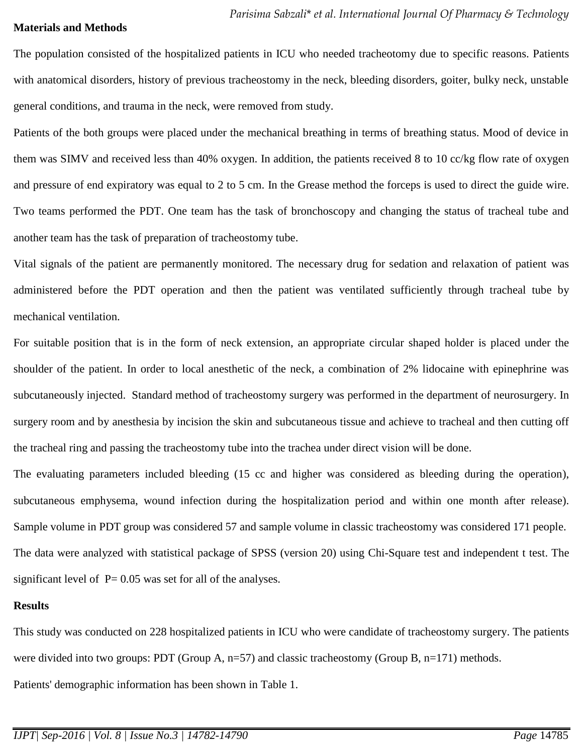### **Materials and Methods**

The population consisted of the hospitalized patients in ICU who needed tracheotomy due to specific reasons. Patients with anatomical disorders, history of previous tracheostomy in the neck, bleeding disorders, goiter, bulky neck, unstable general conditions, and trauma in the neck, were removed from study.

Patients of the both groups were placed under the mechanical breathing in terms of breathing status. Mood of device in them was SIMV and received less than 40% oxygen. In addition, the patients received 8 to 10 cc/kg flow rate of oxygen and pressure of end expiratory was equal to 2 to 5 cm. In the Grease method the forceps is used to direct the guide wire. Two teams performed the PDT. One team has the task of bronchoscopy and changing the status of tracheal tube and another team has the task of preparation of tracheostomy tube.

Vital signals of the patient are permanently monitored. The necessary drug for sedation and relaxation of patient was administered before the PDT operation and then the patient was ventilated sufficiently through tracheal tube by mechanical ventilation.

For suitable position that is in the form of neck extension, an appropriate circular shaped holder is placed under the shoulder of the patient. In order to local anesthetic of the neck, a combination of 2% lidocaine with epinephrine was subcutaneously injected. Standard method of tracheostomy surgery was performed in the department of neurosurgery. In surgery room and by anesthesia by incision the skin and subcutaneous tissue and achieve to tracheal and then cutting off the tracheal ring and passing the tracheostomy tube into the trachea under direct vision will be done.

The evaluating parameters included bleeding (15 cc and higher was considered as bleeding during the operation), subcutaneous emphysema, wound infection during the hospitalization period and within one month after release). Sample volume in PDT group was considered 57 and sample volume in classic tracheostomy was considered 171 people. The data were analyzed with statistical package of SPSS (version 20) using Chi-Square test and independent t test. The significant level of  $P = 0.05$  was set for all of the analyses.

### **Results**

This study was conducted on 228 hospitalized patients in ICU who were candidate of tracheostomy surgery. The patients were divided into two groups: PDT (Group A, n=57) and classic tracheostomy (Group B, n=171) methods. Patients' demographic information has been shown in Table 1.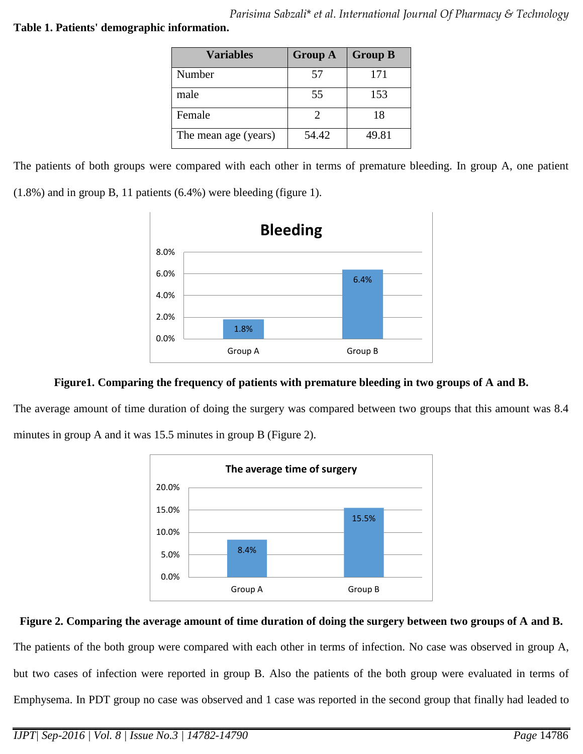## **Table 1. Patients' demographic information.**

| <b>Variables</b>     | <b>Group A</b> | <b>Group B</b> |
|----------------------|----------------|----------------|
| Number               | 57             | 171            |
| male                 | 55             | 153            |
| Female               |                | 18             |
| The mean age (years) | 54.42          | 49.81          |

The patients of both groups were compared with each other in terms of premature bleeding. In group A, one patient

(1.8%) and in group B, 11 patients (6.4%) were bleeding (figure 1).



# **Figure1. Comparing the frequency of patients with premature bleeding in two groups of A and B.**

The average amount of time duration of doing the surgery was compared between two groups that this amount was 8.4 minutes in group A and it was 15.5 minutes in group B (Figure 2).



# **Figure 2. Comparing the average amount of time duration of doing the surgery between two groups of A and B.**

The patients of the both group were compared with each other in terms of infection. No case was observed in group A, but two cases of infection were reported in group B. Also the patients of the both group were evaluated in terms of Emphysema. In PDT group no case was observed and 1 case was reported in the second group that finally had leaded to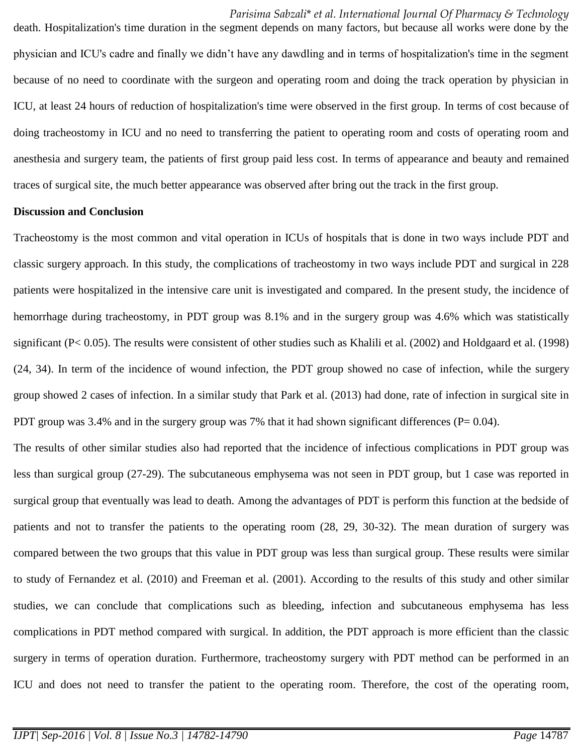*Parisima Sabzali*\* *et al. International Journal Of Pharmacy & Technology* death. Hospitalization's time duration in the segment depends on many factors, but because all works were done by the physician and ICU's cadre and finally we didn't have any dawdling and in terms of hospitalization's time in the segment because of no need to coordinate with the surgeon and operating room and doing the track operation by physician in ICU, at least 24 hours of reduction of hospitalization's time were observed in the first group. In terms of cost because of doing tracheostomy in ICU and no need to transferring the patient to operating room and costs of operating room and anesthesia and surgery team, the patients of first group paid less cost. In terms of appearance and beauty and remained traces of surgical site, the much better appearance was observed after bring out the track in the first group.

#### **Discussion and Conclusion**

Tracheostomy is the most common and vital operation in ICUs of hospitals that is done in two ways include PDT and classic surgery approach. In this study, the complications of tracheostomy in two ways include PDT and surgical in 228 patients were hospitalized in the intensive care unit is investigated and compared. In the present study, the incidence of hemorrhage during tracheostomy, in PDT group was 8.1% and in the surgery group was 4.6% which was statistically significant (P< 0.05). The results were consistent of other studies such as Khalili et al. (2002) and Holdgaard et al. (1998) (24, 34). In term of the incidence of wound infection, the PDT group showed no case of infection, while the surgery group showed 2 cases of infection. In a similar study that Park et al. (2013) had done, rate of infection in surgical site in PDT group was 3.4% and in the surgery group was 7% that it had shown significant differences ( $P= 0.04$ ).

The results of other similar studies also had reported that the incidence of infectious complications in PDT group was less than surgical group (27-29). The subcutaneous emphysema was not seen in PDT group, but 1 case was reported in surgical group that eventually was lead to death. Among the advantages of PDT is perform this function at the bedside of patients and not to transfer the patients to the operating room (28, 29, 30-32). The mean duration of surgery was compared between the two groups that this value in PDT group was less than surgical group. These results were similar to study of Fernandez et al. (2010) and Freeman et al. (2001). According to the results of this study and other similar studies, we can conclude that complications such as bleeding, infection and subcutaneous emphysema has less complications in PDT method compared with surgical. In addition, the PDT approach is more efficient than the classic surgery in terms of operation duration. Furthermore, tracheostomy surgery with PDT method can be performed in an ICU and does not need to transfer the patient to the operating room. Therefore, the cost of the operating room,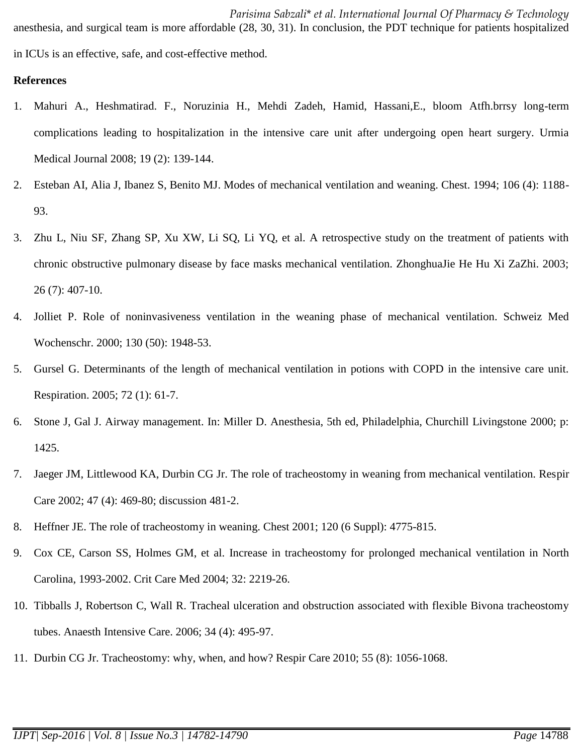*Parisima Sabzali*\* *et al. International Journal Of Pharmacy & Technology* anesthesia, and surgical team is more affordable (28, 30, 31). In conclusion, the PDT technique for patients hospitalized in ICUs is an effective, safe, and cost-effective method.

### **References**

- 1. Mahuri A., Heshmatirad. F., Noruzinia H., Mehdi Zadeh, Hamid, Hassani,E., bloom Atfh.brrsy long-term complications leading to hospitalization in the intensive care unit after undergoing open heart surgery. Urmia Medical Journal 2008; 19 (2): 139-144.
- 2. Esteban AI, Alia J, Ibanez S, Benito MJ. Modes of mechanical ventilation and weaning. Chest. 1994; 106 (4): 1188- 93.
- 3. Zhu L, Niu SF, Zhang SP, Xu XW, Li SQ, Li YQ, et al. A retrospective study on the treatment of patients with chronic obstructive pulmonary disease by face masks mechanical ventilation. ZhonghuaJie He Hu Xi ZaZhi. 2003; 26 (7): 407-10.
- 4. Jolliet P. Role of noninvasiveness ventilation in the weaning phase of mechanical ventilation. Schweiz Med Wochenschr. 2000; 130 (50): 1948-53.
- 5. Gursel G. Determinants of the length of mechanical ventilation in potions with COPD in the intensive care unit. Respiration. 2005; 72 (1): 61-7.
- 6. Stone J, Gal J. Airway management. In: Miller D. Anesthesia, 5th ed, Philadelphia, Churchill Livingstone 2000; p: 1425.
- 7. Jaeger JM, Littlewood KA, Durbin CG Jr. The role of tracheostomy in weaning from mechanical ventilation. Respir Care 2002; 47 (4): 469-80; discussion 481-2.
- 8. Heffner JE. The role of tracheostomy in weaning. Chest 2001; 120 (6 Suppl): 4775-815.
- 9. Cox CE, Carson SS, Holmes GM, et al. Increase in tracheostomy for prolonged mechanical ventilation in North Carolina, 1993-2002. Crit Care Med 2004; 32: 2219-26.
- 10. Tibballs J, Robertson C, Wall R. Tracheal ulceration and obstruction associated with flexible Bivona tracheostomy tubes. Anaesth Intensive Care. 2006; 34 (4): 495-97.
- 11. Durbin CG Jr. Tracheostomy: why, when, and how? Respir Care 2010; 55 (8): 1056-1068.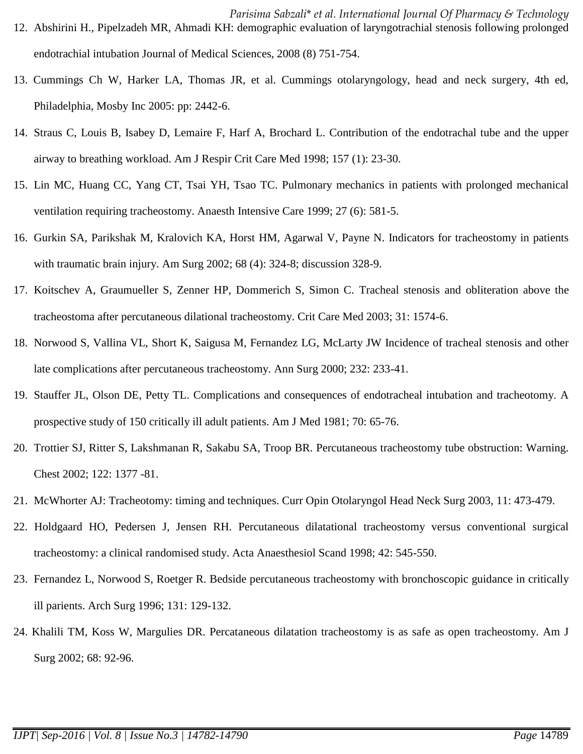- *Parisima Sabzali*\* *et al. International Journal Of Pharmacy & Technology* 12. Abshirini H., Pipelzadeh MR, Ahmadi KH: demographic evaluation of laryngotrachial stenosis following prolonged endotrachial intubation Journal of Medical Sciences, 2008 (8) 751-754.
- 13. Cummings Ch W, Harker LA, Thomas JR, et al. Cummings otolaryngology, head and neck surgery, 4th ed, Philadelphia, Mosby Inc 2005: pp: 2442-6.
- 14. Straus C, Louis B, Isabey D, Lemaire F, Harf A, Brochard L. Contribution of the endotrachal tube and the upper airway to breathing workload. Am J Respir Crit Care Med 1998; 157 (1): 23-30.
- 15. Lin MC, Huang CC, Yang CT, Tsai YH, Tsao TC. Pulmonary mechanics in patients with prolonged mechanical ventilation requiring tracheostomy. Anaesth Intensive Care 1999; 27 (6): 581-5.
- 16. Gurkin SA, Parikshak M, Kralovich KA, Horst HM, Agarwal V, Payne N. Indicators for tracheostomy in patients with traumatic brain injury. Am Surg 2002; 68 (4): 324-8; discussion 328-9.
- 17. Koitschev A, Graumueller S, Zenner HP, Dommerich S, Simon C. Tracheal stenosis and obliteration above the tracheostoma after percutaneous dilational tracheostomy. Crit Care Med 2003; 31: 1574-6.
- 18. Norwood S, Vallina VL, Short K, Saigusa M, Fernandez LG, McLarty JW Incidence of tracheal stenosis and other late complications after percutaneous tracheostomy. Ann Surg 2000; 232: 233-41.
- 19. Stauffer JL, Olson DE, Petty TL. Complications and consequences of endotracheal intubation and tracheotomy. A prospective study of 150 critically ill adult patients. Am J Med 1981; 70: 65-76.
- 20. Trottier SJ, Ritter S, Lakshmanan R, Sakabu SA, Troop BR. Percutaneous tracheostomy tube obstruction: Warning. Chest 2002; 122: 1377 -81.
- 21. McWhorter AJ: Tracheotomy: timing and techniques. Curr Opin Otolaryngol Head Neck Surg 2003, 11: 473-479.
- 22. Holdgaard HO, Pedersen J, Jensen RH. Percutaneous dilatational tracheostomy versus conventional surgical tracheostomy: a clinical randomised study. Acta Anaesthesiol Scand 1998; 42: 545-550.
- 23. Fernandez L, Norwood S, Roetger R. Bedside percutaneous tracheostomy with bronchoscopic guidance in critically ill parients. Arch Surg 1996; 131: 129-132.
- 24. Khalili TM, Koss W, Margulies DR. Percataneous dilatation tracheostomy is as safe as open tracheostomy. Am J Surg 2002; 68: 92-96.